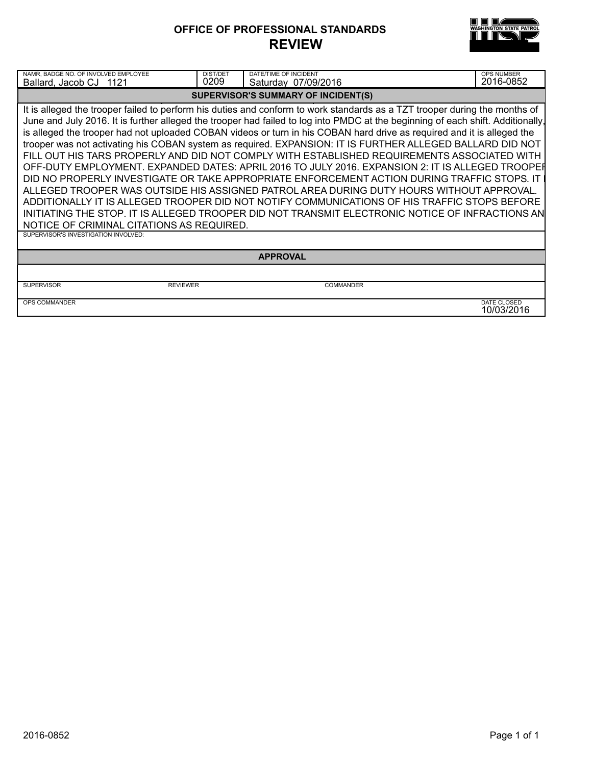### **OFFICE OF PROFESSIONAL STANDARDS REVIEW**



| NAMR, BADGE NO. OF INVOLVED EMPLOYEE<br>Ballard, Jacob CJ 1121                                                                                                                                                                                                                                                                                                                                                                                                                                                                                                                                                                                                                                                                                                                                                                                                                                                                                                                                     | <b>DIST/DET</b><br>0209 | DATE/TIME OF INCIDENT<br>Saturday 07/09/2016 | OPS NUMBER<br>2016-0852   |  |
|----------------------------------------------------------------------------------------------------------------------------------------------------------------------------------------------------------------------------------------------------------------------------------------------------------------------------------------------------------------------------------------------------------------------------------------------------------------------------------------------------------------------------------------------------------------------------------------------------------------------------------------------------------------------------------------------------------------------------------------------------------------------------------------------------------------------------------------------------------------------------------------------------------------------------------------------------------------------------------------------------|-------------------------|----------------------------------------------|---------------------------|--|
|                                                                                                                                                                                                                                                                                                                                                                                                                                                                                                                                                                                                                                                                                                                                                                                                                                                                                                                                                                                                    |                         | SUPERVISOR'S SUMMARY OF INCIDENT(S)          |                           |  |
| It is alleged the trooper failed to perform his duties and conform to work standards as a TZT trooper during the months of<br>June and July 2016. It is further alleged the trooper had failed to log into PMDC at the beginning of each shift. Additionally,<br>is alleged the trooper had not uploaded COBAN videos or turn in his COBAN hard drive as required and it is alleged the<br>trooper was not activating his COBAN system as required. EXPANSION: IT IS FURTHER ALLEGED BALLARD DID NOT<br>FILL OUT HIS TARS PROPERLY AND DID NOT COMPLY WITH ESTABLISHED REQUIREMENTS ASSOCIATED WITH<br>OFF-DUTY EMPLOYMENT. EXPANDED DATES: APRIL 2016 TO JULY 2016. EXPANSION 2: IT IS ALLEGED TROOPER<br>DID NO PROPERLY INVESTIGATE OR TAKE APPROPRIATE ENFORCEMENT ACTION DURING TRAFFIC STOPS. IT<br>ALLEGED TROOPER WAS OUTSIDE HIS ASSIGNED PATROL AREA DURING DUTY HOURS WITHOUT APPROVAL.<br>ADDITIONALLY IT IS ALLEGED TROOPER DID NOT NOTIFY COMMUNICATIONS OF HIS TRAFFIC STOPS BEFORE |                         |                                              |                           |  |
| INITIATING THE STOP. IT IS ALLEGED TROOPER DID NOT TRANSMIT ELECTRONIC NOTICE OF INFRACTIONS AN<br>NOTICE OF CRIMINAL CITATIONS AS REQUIRED.                                                                                                                                                                                                                                                                                                                                                                                                                                                                                                                                                                                                                                                                                                                                                                                                                                                       |                         |                                              |                           |  |
| SUPERVISOR'S INVESTIGATION INVOLVED:                                                                                                                                                                                                                                                                                                                                                                                                                                                                                                                                                                                                                                                                                                                                                                                                                                                                                                                                                               |                         |                                              |                           |  |
| <b>APPROVAL</b>                                                                                                                                                                                                                                                                                                                                                                                                                                                                                                                                                                                                                                                                                                                                                                                                                                                                                                                                                                                    |                         |                                              |                           |  |
|                                                                                                                                                                                                                                                                                                                                                                                                                                                                                                                                                                                                                                                                                                                                                                                                                                                                                                                                                                                                    |                         |                                              |                           |  |
| <b>REVIEWER</b><br><b>SUPERVISOR</b>                                                                                                                                                                                                                                                                                                                                                                                                                                                                                                                                                                                                                                                                                                                                                                                                                                                                                                                                                               |                         | <b>COMMANDER</b>                             |                           |  |
| <b>OPS COMMANDER</b>                                                                                                                                                                                                                                                                                                                                                                                                                                                                                                                                                                                                                                                                                                                                                                                                                                                                                                                                                                               |                         |                                              | DATE CLOSED<br>10/03/2016 |  |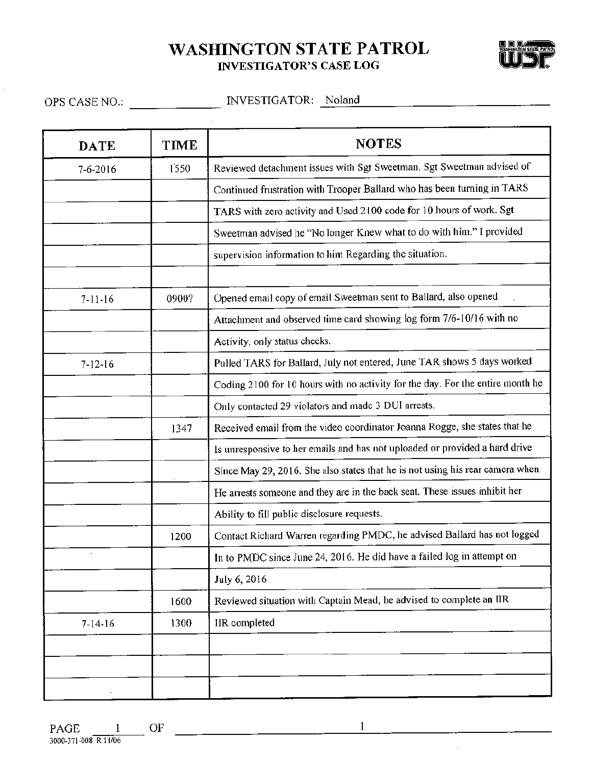# **WASHINGTON STATE PATROL INVESTIGATOR'S CASE LOG**



| <b>DATE</b>   | TIME  | <b>NOTES</b>                                                                   |
|---------------|-------|--------------------------------------------------------------------------------|
| 7-6-2016      | 1550  | Reviewed detachment issues with Sgt Sweetman. Sgt Sweetman advised of          |
|               |       | Continued frustration with Trooper Ballard who has been turning in TARS        |
|               |       | TARS with zero activity and Used 2100 code for 10 hours of work. Sgt           |
|               |       | Sweetman advised he "No longer Knew what to do with him." I provided           |
|               |       | supervision information to him Regarding the situation.                        |
| $7-11-16$     | 0900? | Opened email copy of email Sweetman sent to Ballard, also opened               |
|               |       | Attachment and observed time card showing log form 7/6-10/16 with no           |
|               |       | Activity, only status checks.                                                  |
| $7 - 12 - 16$ |       | Pulled TARS for Ballard, July not entered, June TAR shows 5 days worked        |
|               |       | Coding 2100 for 10 hours with no activity for the day. For the entire month he |
|               |       | Only contacted 29 violators and made 3 DUI arrests.                            |
|               | 1347  | Received email from the video coordinator Joanna Rogge, she states that he     |
|               |       | Is unresponsive to her emails and has not uploaded or provided a hard drive    |
|               |       | Since May 29, 2016. She also states that he is not using his rear camera when  |
|               |       | He arrests someone and they are in the back seat. These issues inhibit her     |
|               |       | Ability to fill public disclosure requests.                                    |
|               | 1200  | Contact Richard Warren regarding PMDC, he advised Ballard has not logged       |
|               |       | In to PMDC since June 24, 2016. He did have a failed log in attempt on         |
|               |       | July 6, 2016                                                                   |
|               | 1600  | Reviewed situation with Captain Mead, he advised to complete an IIR            |
| $7 - 14 - 16$ | 1300  | IIR completed                                                                  |
|               |       |                                                                                |
|               |       |                                                                                |
|               |       |                                                                                |

 $1 -$ 

<u> 1980 - Jan Stein Stein, mars an de Fran</u>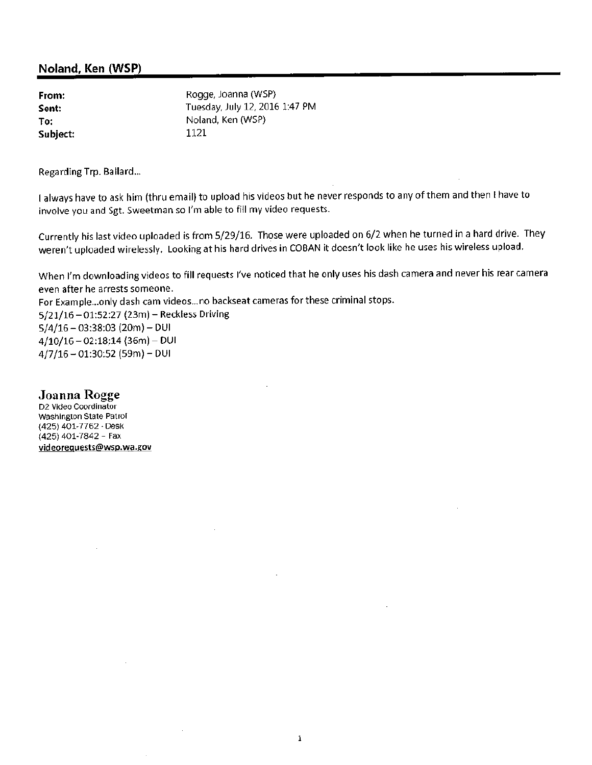### Noland, Ken (WSP)

| From:    | Rogge, Joanna (WSP)            |
|----------|--------------------------------|
| Sent:    | Tuesday, July 12, 2016 1:47 PM |
| To:      | Noland, Ken (WSP)              |
| Subject: | 1121                           |

Regarding Trp. Ballard...

I always have to ask him (thru email) to upload his videos but he never responds to any of them and then I have to involve you and Sgt. Sweetman so I'm able to fill my video requests.

Currently his last video uploaded is from 5/29/16. Those were uploaded on 6/2 when he turned in a hard drive. They weren't uploaded wirelessly. Looking at his hard drives in COBAN it doesn't look like he uses his wireless upload.

When I'm downloading videos to fill requests I've noticed that he only uses his dash camera and never his rear camera even after he arrests someone.

For Example...only dash cam videos...no backseat cameras for these criminal stops. 5/21/16 - 01:52:27 (23m) - Reckless Driving  $5/4/16 - 03:38:03(20m) - DUI$  $4/10/16 - 02:18:14(36m) - DUI$  $4/7/16 - 01:30:52$  (59m) - DUI

### Joanna Rogge

D2 Video Coordinator Washington State Patrol (425) 401-7762 - Desk (425) 401-7842 - Fax videorequests@wsp.wa.gov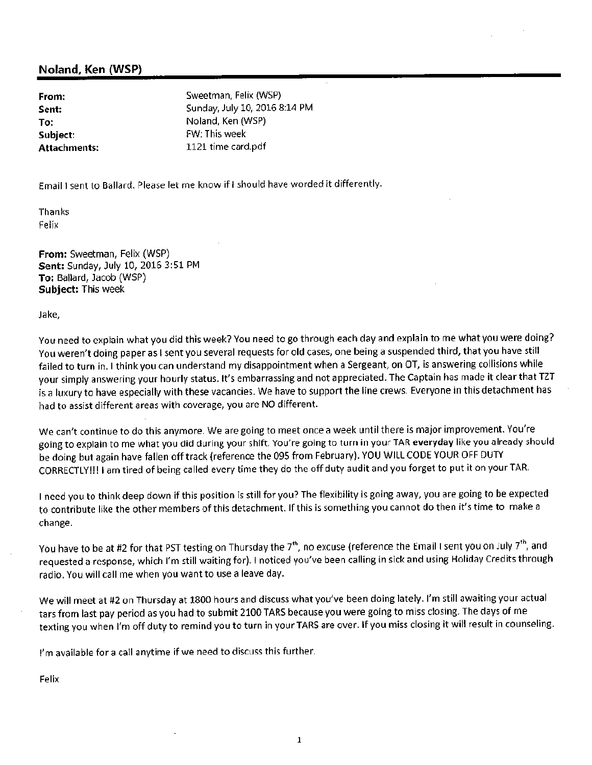### Noland, Ken (WSP)

From: Sent: To: Subiect: **Attachments:** 

Sweetman, Felix (WSP) Sunday, July 10, 2016 8:14 PM Noland, Ken (WSP) FW: This week 1121 time card.pdf

Email I sent to Ballard. Please let me know if I should have worded it differently.

Thanks Felix

From: Sweetman, Felix (WSP) Sent: Sunday, July 10, 2016 3:51 PM To: Ballard, Jacob (WSP) **Subject: This week** 

Jake,

You need to explain what you did this week? You need to go through each day and explain to me what you were doing? You weren't doing paper as I sent you several requests for old cases, one being a suspended third, that you have still failed to turn in. I think you can understand my disappointment when a Sergeant, on OT, is answering collisions while your simply answering your hourly status. It's embarrassing and not appreciated. The Captain has made it clear that TZT is a luxury to have especially with these vacancies. We have to support the line crews. Everyone in this detachment has had to assist different areas with coverage, you are NO different.

We can't continue to do this anymore. We are going to meet once a week until there is major improvement. You're going to explain to me what you did during your shift. You're going to turn in your TAR everyday like you already should be doing but again have fallen off track (reference the 095 from February). YOU WILL CODE YOUR OFF DUTY CORRECTLY!!! I am tired of being called every time they do the off duty audit and you forget to put it on your TAR.

I need you to think deep down if this position is still for you? The flexibility is going away, you are going to be expected to contribute like the other members of this detachment. If this is something you cannot do then it's time to make a change.

You have to be at #2 for that PST testing on Thursday the 7<sup>th</sup>, no excuse (reference the Email I sent you on July 7<sup>th</sup>, and requested a response, which I'm still waiting for). I noticed you've been calling in sick and using Holiday Credits through radio. You will call me when you want to use a leave day.

We will meet at #2 on Thursday at 1800 hours and discuss what you've been doing lately. I'm still awaiting your actual tars from last pay period as you had to submit 2100 TARS because you were going to miss closing. The days of me texting you when I'm off duty to remind you to turn in your TARS are over. If you miss closing it will result in counseling.

I'm available for a call anytime if we need to discuss this further.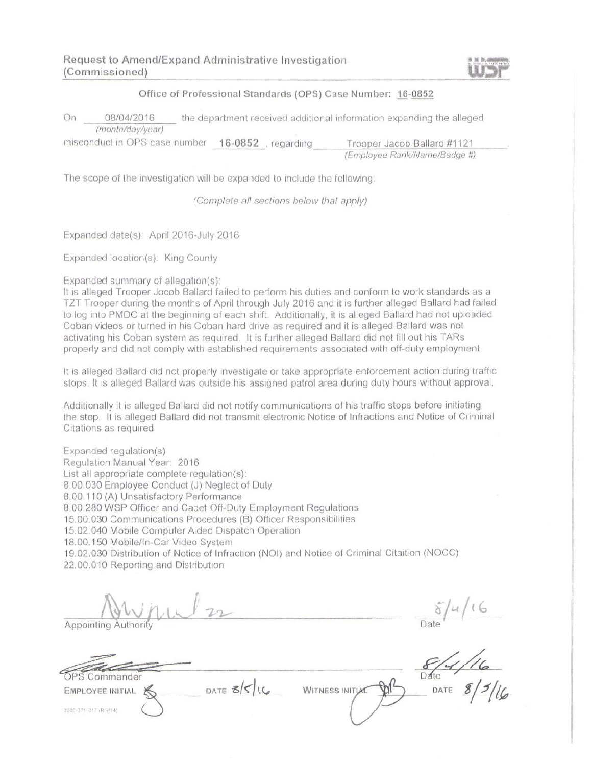### Office of Professional Standards (OPS) Case Number: 16-0852

On 08/04/2016 the department received additional information expanding the alleged (month/day/year)

misconduct in OPS case number 16-0852, regarding Trooper Jacob Ballard #1121 (Employee Rank/Name/Badge #)

The scope of the investigation will be expanded to include the following.

(Complete all sections below that apply)

Expanded date(s): April 2016-July 2016

Expanded location(s): King County

Expanded summary of allegation(s):

It is alleged Trooper Jocob Ballard failed to perform his duties and conform to work standards as a TZT Trooper during the months of April through July 2016 and it is further alleged Ballard had failed to log into PMDC at the beginning of each shift. Additionally, it is alleged Ballard had not uploaded Coban videos or turned in his Coban hard drive as required and it is alleged Ballard was not activating his Coban system as required. It is further alleged Ballard did not fill out his TARs properly and did not comply with established requirements associated with off-duty employment.

It is alleged Ballard did not properly investigate or take appropriate enforcement action during traffic stops. It is alleged Ballard was outside his assigned patrol area during duty hours without approval.

Additionally it is alleged Ballard did not notify communications of his traffic stops before initiating the stop. It is alleged Ballard did not transmit electronic Notice of Infractions and Notice of Criminal Citations as required

Expanded regulation(s) Regulation Manual Year: 2016 List all appropriate complete regulation(s): 8.00.030 Employee Conduct (J) Neglect of Duty 8.00.110 (A) Unsatisfactory Performance 8.00.280 WSP Officer and Cadet Off-Duty Employment Regulations 15.00.030 Communications Procedures (B) Officer Responsibilities 15.02.040 Mobile Computer Aided Dispatch Operation 18.00.150 Mobile/In-Car Video System 19.02.030 Distribution of Notice of Infraction (NOI) and Notice of Criminal Citaition (NOCC) 22.00.010 Reporting and Distribution

Appointing

Commander

**EMPLOYEE INITIAL** 

3000-371-017 (R 9/14)

DATE  $35/16$ 

**WITNESS INITIAL**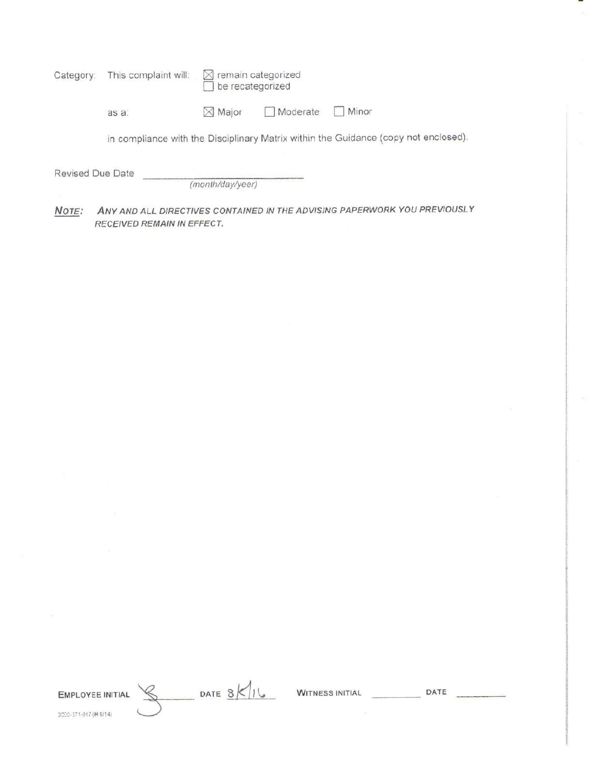| Category:        | This complaint will:       | $\times$ remain categorized<br>be recategorized |          |                                                                                     |
|------------------|----------------------------|-------------------------------------------------|----------|-------------------------------------------------------------------------------------|
|                  | as a:                      | $\times$ Major                                  | Moderate | Minor                                                                               |
|                  |                            |                                                 |          | in compliance with the Disciplinary Matrix within the Guidance (copy not enclosed). |
| Revised Due Date |                            | (month/day/year)                                |          |                                                                                     |
| NOTE:            | RECEIVED REMAIN IN EFFECT. |                                                 |          | ANY AND ALL DIRECTIVES CONTAINED IN THE ADVISING PAPERWORK YOU PREVIOUSLY           |

EMPLOYEE INITIAL 3000-371-017 (R 9/14)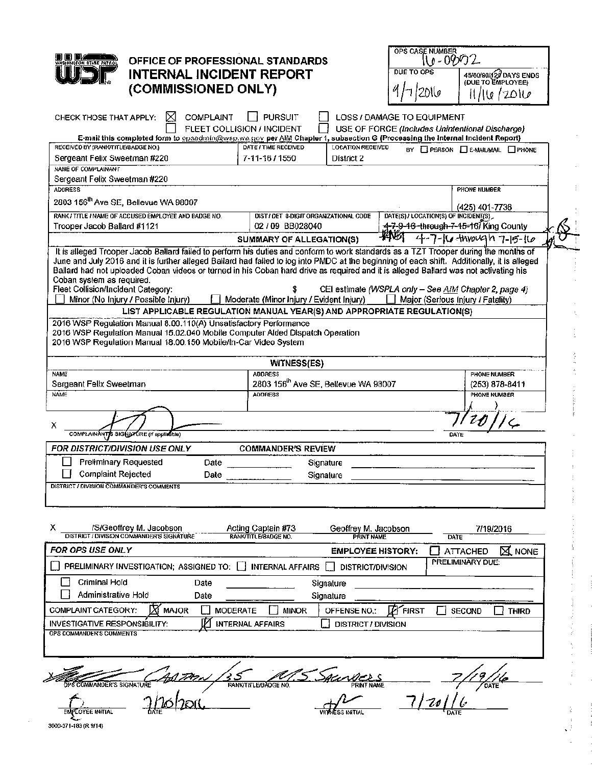

### OFFICE OF PROFESSIONAL STANDARDS **INTERNAL INCIDENT REPORT** (COMMISSIONED ONLY)

| OPS CASE NUMBER   |                                             |
|-------------------|---------------------------------------------|
| DUE TO OPS        | 45/60/90/120 DAYS ENDS<br>(DUE TO EMPLOYEE) |
| 4112016           | 11/16/2016                                  |
| MAGE TO EQUIPMENT |                                             |

 $\frac{8}{3}$  $\hat{\gamma}$ 

ł

f,

| ⊠<br>COMPLAINT<br>CHECK THOSE THAT APPLY:                                                                                                                                                                                                                                                                                                                                                                                                                                                                                                                                                                                                                                                    | <b>PURSUIT</b>                                                                                                      | LOSS / DAMAGE TO EQUIPMENT                                                                 |
|----------------------------------------------------------------------------------------------------------------------------------------------------------------------------------------------------------------------------------------------------------------------------------------------------------------------------------------------------------------------------------------------------------------------------------------------------------------------------------------------------------------------------------------------------------------------------------------------------------------------------------------------------------------------------------------------|---------------------------------------------------------------------------------------------------------------------|--------------------------------------------------------------------------------------------|
| FLEET COLLISION / INCIDENT                                                                                                                                                                                                                                                                                                                                                                                                                                                                                                                                                                                                                                                                   |                                                                                                                     | USE OF FORCE (Includes Unintentional Discharge)                                            |
| E-mail this completed form to opsadmin@wsp.wa.gov per AlM Chapter 1, subsection G (Processing the Internal Incident Report)                                                                                                                                                                                                                                                                                                                                                                                                                                                                                                                                                                  |                                                                                                                     |                                                                                            |
| RECEIVED BY (RANK/TITLE/BADGE NO.)                                                                                                                                                                                                                                                                                                                                                                                                                                                                                                                                                                                                                                                           | DATE / TIME RECEIVED<br><b>LOCATION RECEIVED</b>                                                                    | BY <b>I</b> PERSON <b>I</b> E-MAIL/MAIL <b>I</b> PHONE                                     |
| Sergeant Felix Sweetman #220                                                                                                                                                                                                                                                                                                                                                                                                                                                                                                                                                                                                                                                                 | 7-11-16/1550<br>District 2                                                                                          |                                                                                            |
| NAME OF COMPLAINANT                                                                                                                                                                                                                                                                                                                                                                                                                                                                                                                                                                                                                                                                          |                                                                                                                     |                                                                                            |
| Sergeant Felix Sweetman #220<br><b>ADDRESS</b>                                                                                                                                                                                                                                                                                                                                                                                                                                                                                                                                                                                                                                               |                                                                                                                     |                                                                                            |
|                                                                                                                                                                                                                                                                                                                                                                                                                                                                                                                                                                                                                                                                                              |                                                                                                                     | PHONE NUMBER                                                                               |
| 2803 156 <sup>th</sup> Ave SE, Bellevue WA 98007                                                                                                                                                                                                                                                                                                                                                                                                                                                                                                                                                                                                                                             |                                                                                                                     | $(425)$ 401-7736                                                                           |
| RANK / TITLE / NAME OF ACCUSED EMPLOYEE AND BADGE NO.                                                                                                                                                                                                                                                                                                                                                                                                                                                                                                                                                                                                                                        | DIST / DET 8-DIGIT ORGANIZATIONAL CODE                                                                              | DATE(S) / LOCATION(S) OF INCIDENT(S)                                                       |
| Trooper Jacob Ballard #1121                                                                                                                                                                                                                                                                                                                                                                                                                                                                                                                                                                                                                                                                  | 02 / 09 BB028040                                                                                                    | <del>_1-7-9-16 -through-7-15-1</del> 6/ King County                                        |
|                                                                                                                                                                                                                                                                                                                                                                                                                                                                                                                                                                                                                                                                                              | SUMMARY OF ALLEGATION(S)                                                                                            | pang<br>4-7-10 throwgh 7-15-16                                                             |
| It is alleged Trooper Jacob Ballard failed to perform his duties and conform to work standards as a TZT Trooper during the months of<br>June and July 2016 and it is further alleged Ballard had falled to log into PMDC at the beginning of each shift. Additionally, it is alleged<br>Ballard had not uploaded Coban videos or turned in his Coban hard drive as required and it is alleged Ballard was not activating his<br>Coban system as required.<br>Fleet Collision/Incident Category:<br>Minor (No Injury / Possible Injury)<br>2016 WSP Regulation Manual 8.00.110(A) Unsatisfactory Performance<br>2016 WSP Regulation Manual 15.02.040 Mobile Computer Alded Dispatch Operation | Moderate (Minor Injury / Evident Injury)<br>LIST APPLICABLE REGULATION MANUAL YEAR(S) AND APPROPRIATE REGULATION(S) | CEI estimate (WSPLA only - See AIM Chapter 2, page 4)<br>Major (Serious Injury / Fatality) |
| 2016 WSP Regulation Manual 18.00.150 Mobile/In-Car Video System                                                                                                                                                                                                                                                                                                                                                                                                                                                                                                                                                                                                                              | WITNESS(ES)                                                                                                         |                                                                                            |
| <b>NAME</b>                                                                                                                                                                                                                                                                                                                                                                                                                                                                                                                                                                                                                                                                                  | <b>ADDRESS</b>                                                                                                      | PHONE NUMBER                                                                               |
| Sergeant Felix Sweetman                                                                                                                                                                                                                                                                                                                                                                                                                                                                                                                                                                                                                                                                      | 2803 156 <sup>th</sup> Ave SE, Bellevue WA 98007                                                                    | $(253)$ 878-8411                                                                           |
| <b>NAME</b>                                                                                                                                                                                                                                                                                                                                                                                                                                                                                                                                                                                                                                                                                  | <b>ADDRESS</b>                                                                                                      | PHONE NUMBER                                                                               |
|                                                                                                                                                                                                                                                                                                                                                                                                                                                                                                                                                                                                                                                                                              |                                                                                                                     |                                                                                            |
|                                                                                                                                                                                                                                                                                                                                                                                                                                                                                                                                                                                                                                                                                              |                                                                                                                     |                                                                                            |
| х<br>COMPLAINANTS SIGNATURE (if applicable)                                                                                                                                                                                                                                                                                                                                                                                                                                                                                                                                                                                                                                                  |                                                                                                                     | DATE                                                                                       |
|                                                                                                                                                                                                                                                                                                                                                                                                                                                                                                                                                                                                                                                                                              |                                                                                                                     |                                                                                            |
| FOR DISTRICT/DIVISION USE ONLY                                                                                                                                                                                                                                                                                                                                                                                                                                                                                                                                                                                                                                                               | <b>COMMANDER'S REVIEW</b>                                                                                           |                                                                                            |
| Preliminary Requested<br>Date                                                                                                                                                                                                                                                                                                                                                                                                                                                                                                                                                                                                                                                                | Signature                                                                                                           |                                                                                            |
| <b>Complaint Rejected</b><br>Date                                                                                                                                                                                                                                                                                                                                                                                                                                                                                                                                                                                                                                                            | Signature                                                                                                           |                                                                                            |
| DISTRICT / DIVISION COMMANDER'S COMMENTS                                                                                                                                                                                                                                                                                                                                                                                                                                                                                                                                                                                                                                                     |                                                                                                                     |                                                                                            |
|                                                                                                                                                                                                                                                                                                                                                                                                                                                                                                                                                                                                                                                                                              |                                                                                                                     |                                                                                            |
|                                                                                                                                                                                                                                                                                                                                                                                                                                                                                                                                                                                                                                                                                              |                                                                                                                     |                                                                                            |
| х<br>/S/Geoffrey M. Jacobson<br>DISTRICT / DIVISION COMMANDER'S SIGNATURE                                                                                                                                                                                                                                                                                                                                                                                                                                                                                                                                                                                                                    | Acting Captain #73<br>Geoffrey M. Jacobson<br>RANK/TITLE/BADGE NO.<br><b>PRINT NAME</b>                             | 7/19/2016<br>DATE                                                                          |
| <b>FOR OPS USE ONLY</b>                                                                                                                                                                                                                                                                                                                                                                                                                                                                                                                                                                                                                                                                      | <b>EMPLOYEE HISTORY:</b>                                                                                            | <b>ATTACHED</b><br><b>X</b> NONE                                                           |
| PRELIMINARY INVESTIGATION; ASSIGNED TO: INTERNAL AFFAIRS                                                                                                                                                                                                                                                                                                                                                                                                                                                                                                                                                                                                                                     | DISTRICT/DIVISION<br>ΙI                                                                                             | PRELIMINARY DUE:                                                                           |
| Criminal Hold<br>Date                                                                                                                                                                                                                                                                                                                                                                                                                                                                                                                                                                                                                                                                        | Signature                                                                                                           |                                                                                            |
| Administrative Hold<br>Date                                                                                                                                                                                                                                                                                                                                                                                                                                                                                                                                                                                                                                                                  | Signature                                                                                                           |                                                                                            |
| COMPLAINT CATEGORY:<br><b>MAJOR</b><br><b>MODERATE</b>                                                                                                                                                                                                                                                                                                                                                                                                                                                                                                                                                                                                                                       | <b>MINOR</b><br>OFFENSE NO.:                                                                                        | $\cancel{F}$ FIRST<br><b>SECOND</b><br><b>THIRD</b>                                        |
|                                                                                                                                                                                                                                                                                                                                                                                                                                                                                                                                                                                                                                                                                              |                                                                                                                     |                                                                                            |
| <b>INVESTIGATIVE RESPONSIBILITY:</b><br><b>OPS COMMANDER'S COMMENTS</b>                                                                                                                                                                                                                                                                                                                                                                                                                                                                                                                                                                                                                      | <b>INTERNAL AFFAIRS</b><br><b>DISTRICT / DIVISION</b>                                                               |                                                                                            |
|                                                                                                                                                                                                                                                                                                                                                                                                                                                                                                                                                                                                                                                                                              |                                                                                                                     |                                                                                            |
|                                                                                                                                                                                                                                                                                                                                                                                                                                                                                                                                                                                                                                                                                              |                                                                                                                     |                                                                                            |
|                                                                                                                                                                                                                                                                                                                                                                                                                                                                                                                                                                                                                                                                                              |                                                                                                                     |                                                                                            |
| OPS COMMANDER'S SIGNATURE                                                                                                                                                                                                                                                                                                                                                                                                                                                                                                                                                                                                                                                                    | RANKTITLE/BADGE NO.<br>PRINT NAME                                                                                   | OATE                                                                                       |
| ENPLOYEE INITIAL                                                                                                                                                                                                                                                                                                                                                                                                                                                                                                                                                                                                                                                                             | NÉSS INITIAL                                                                                                        |                                                                                            |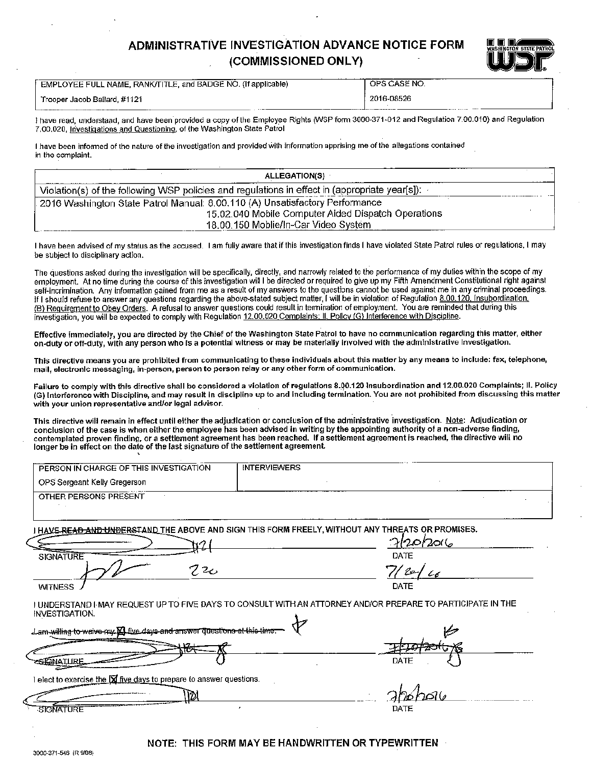### **ADMINISTRATIVE INVESTIGATION ADVANCE NOTICE FORM** (COMMISSIONED ONLY)



| Trooper Jacob Ballard, #1121 |  |  |
|------------------------------|--|--|
|                              |  |  |

EMPLOYEE FULL NAME, RANK/TITLE, and BADGE NO. (If applicable)

OPS CASE NO. 2016-08526

I have read, understand, and have been provided a copy of the Employee Rights (WSP form 3000-371-012 and Regulation 7.00.010) and Regulation 7.00.020, Investigations and Questioning, of the Washington State Patrol

I have been informed of the nature of the investigation and provided with information apprising me of the allegations contained in the complaint.

| <b>ALLEGATION(S)</b>                                                                           |  |
|------------------------------------------------------------------------------------------------|--|
| Violation(s) of the following WSP policies and regulations in effect in (appropriate year[s]): |  |
| 2016 Washington State Patrol Manual: 8.00.110 (A) Unsatisfactory Performance                   |  |
| 15.02.040 Mobile Computer Aided Dispatch Operations                                            |  |
| 18.00.150 Moblie/In-Car Video System                                                           |  |

I have been advised of my status as the accused. I am fully aware that if this investigation finds I have violated State Patrol rules or regulations. I may be subject to disciplinary action.

The questions asked during the investigation will be specifically, directly, and narrowly related to the performance of my duties within the scope of my employment. At no time during the course of this investigation will I be directed or required to give up my Fifth Amendment Constitutional right against self-incrimination. Any information gained from me as a result of my answers to the questions cannot be used against me in any criminal proceedings. If I should refuse to answer any questions regarding the above-stated subject matter, I will be in violation of Regulation 8.00.120. Insubordination, (B) Requirement to Obey Orders. A refusal to answer questions could result in termination of employment. You are reminded that during this investigation, you will be expected to comply with Regulation 12.00.020 Complaints; II. Pollcy (G) Interference with Discipline.

Effective immediately, you are directed by the Chief of the Washington State Patrol to have no communication regarding this matter, either on-duty or off-duty, with any person who is a potential witness or may be materially involved with the administrative investigation.

This directive means you are prohibited from communicating to these individuals about this matter by any means to include: fax, telephone, mail, electronic messaging, in-person, person to person relay or any other form of communication.

Failure to comply with this directive shall be considered a violation of regulations 8.00.120 Insubordination and 12.00.020 Complaints; II. Policy (G) Interference with Discipline, and may result in discipline up to and including termination. You are not prohibited from discussing this matter with your union representative and/or legal advisor.

This directive will remain in effect until either the adjudication or conclusion of the administrative investigation. Note: Adjudication or conclusion of the case is when either the employee has been advised in writing by the appointing authority of a non-adverse finding, contemplated proven finding, or a settlement agreement has been reached. If a settlement agreement is reached, the directive will no longer be in effect on the date of the last signature of the settlement agreement.

| PERSON IN CHARGE OF THIS INVESTIGATION                                               | <b>INTERVIEWERS</b>                                                                                                  |
|--------------------------------------------------------------------------------------|----------------------------------------------------------------------------------------------------------------------|
| OPS Sergeant Kelly Gregerson                                                         |                                                                                                                      |
| OTHER PERSONS PRESENT                                                                |                                                                                                                      |
|                                                                                      | I H <u>AVE RE<del>AD AND UNDER</del>STAND T</u> HE ABOVE AND SIGN THIS FORM FREELY, WITHOUT ANY THREATS OR PROMISES. |
|                                                                                      | 712012016                                                                                                            |
| <b>SIGNATURE</b>                                                                     | DATE                                                                                                                 |
| 220                                                                                  | 7/ le-j<br>$\epsilon$                                                                                                |
| <b>WITNESS</b>                                                                       | DATE                                                                                                                 |
| INVESTIGATION.                                                                       | I UNDERSTAND I MAY REQUEST UP TO FIVE DAYS TO CONSULT WITH AN ATTORNEY AND/OR PREPARE TO PARTICIPATE IN THE          |
| Jam willing to waive my <b>El five days and answer questions at this time.</b>       |                                                                                                                      |
|                                                                                      |                                                                                                                      |
| COMATURE                                                                             | <b>DATE</b>                                                                                                          |
| elect to exercise the $\boxed{\mathbf{X}}$ five days to prepare to answer questions. |                                                                                                                      |
|                                                                                      |                                                                                                                      |
| SIGNATURE                                                                            | DATE                                                                                                                 |

### NOTE: THIS FORM MAY BE HANDWRITTEN OR TYPEWRITTEN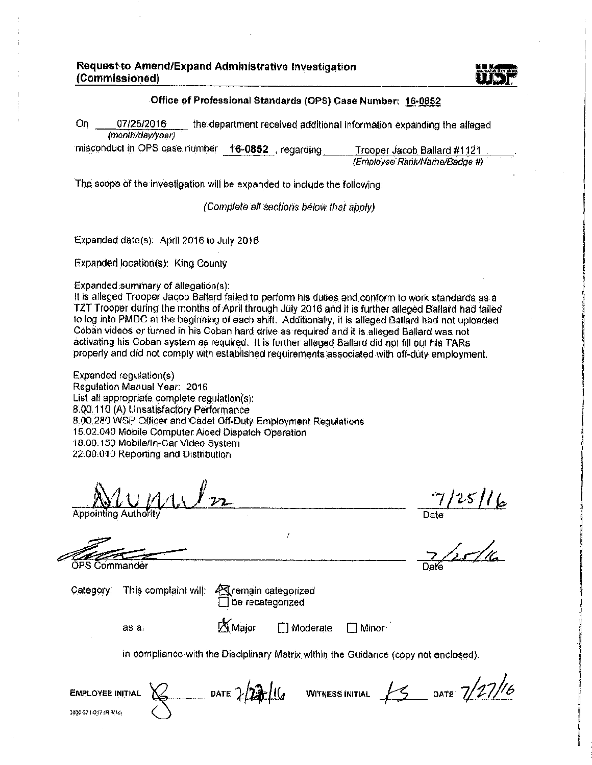#### Office of Professional Standards (OPS) Case Number: 16-0852

On. 07/25/2016 the department received additional information expanding the alleged (month/dav/vear)

misconduct in OPS case number 16-0852, regarding Trooper Jacob Ballard #1121 (Employee Rank/Name/Badge #)

The scope of the investigation will be expanded to include the following:

(Complete all sections below that apply)

Expanded date(s): April 2016 to July 2016.

Expanded location(s): King County

Expanded summary of allegation(s):

It is alleged Trooper Jacob Ballard failed to perform his duties and conform to work standards as a TZT Trooper during the months of April through July 2016 and it is further alleged Ballard had failed to log into PMDC at the beginning of each shift. Additionally, it is alleged Ballard had not uploaded Coban videos or turned in his Coban hard drive as required and it is alleged Ballard was not activating his Coban system as required. It is further alleged Ballard did not fill out his TARs properly and did not comply with established requirements associated with off-duty employment.

Expanded requiation(s) Regulation Manual Year: 2016 List all appropriate complete regulation(s); 8.00.110 (A) Unsatisfactory Performance 8.00.280 WSP Officer and Cadet Off-Duty Employment Regulations 15.02.040 Mobile Computer Aided Dispatch Operation 18.00.150 Mobile/In-Car Video System 22.00.010 Reporting and Distribution

Appointing Author

 $\frac{7}{25}$ //25//6

OPS Commander

Category;

| This complaint will: 45 |   |
|-------------------------|---|
|                         | Г |

as a:

**X** Major

**T1** Moderate  $\Box$  Minor

in compliance with the Disciplinary Matrix within the Guidance (copy not enclosed).

| <b>EMPLOYEE INITIAL</b> | л. | DATE $2/2 + 16$ | <b>WITNESS INITIAL</b> | DATE $7/27/6$ |
|-------------------------|----|-----------------|------------------------|---------------|
| 3000-371-017 (R 3/14)   |    |                 |                        |               |

remain categorized be recategorized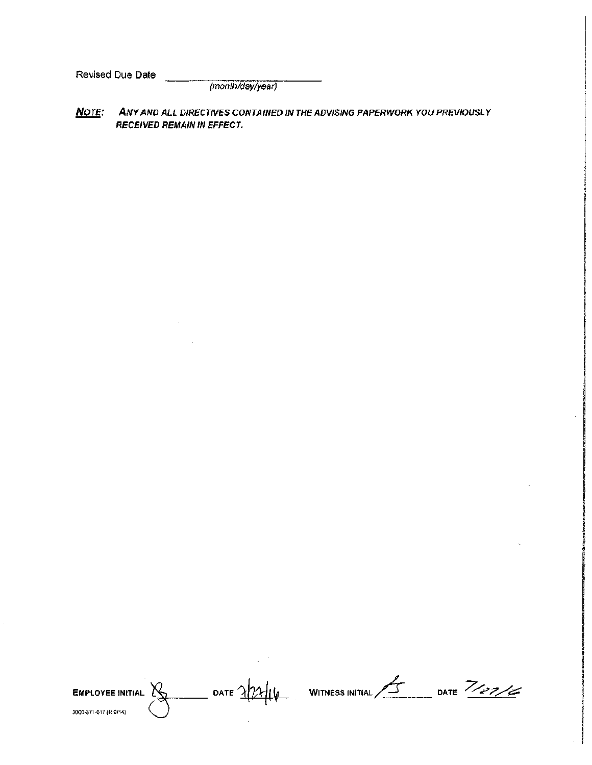Revised Due Date

(month/day/year)

#### Note: ANY AND ALL DIRECTIVES CONTAINED IN THE ADVISING PAPERWORK YOU PREVIOUSLY **RECEIVED REMAIN IN EFFECT.**

 $\frac{1}{2}$  date  $\frac{1}{2}$ **EMPLOYEE INITIAL**  $\mathbb{X}$ 3006-371-017 (R 9/14)

WITNESS INITIAL /S DATE 7/27/6

 $\bar{z}$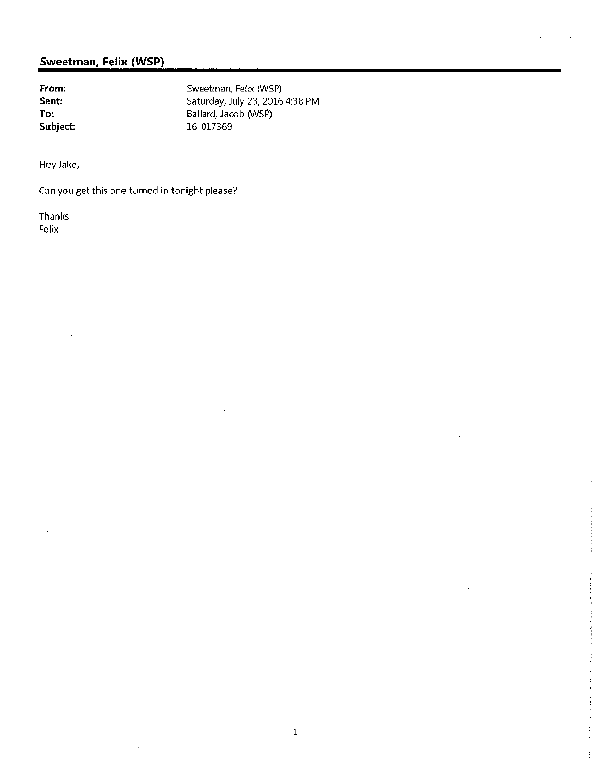From: Sent: To: Subject: Sweetman, Felix (WSP) Saturday, July 23, 2016 4:38 PM Ballard, Jacob (WSP) 16-017369

Hey Jake,

Can you get this one turned in tonight please?

**Thanks** Felix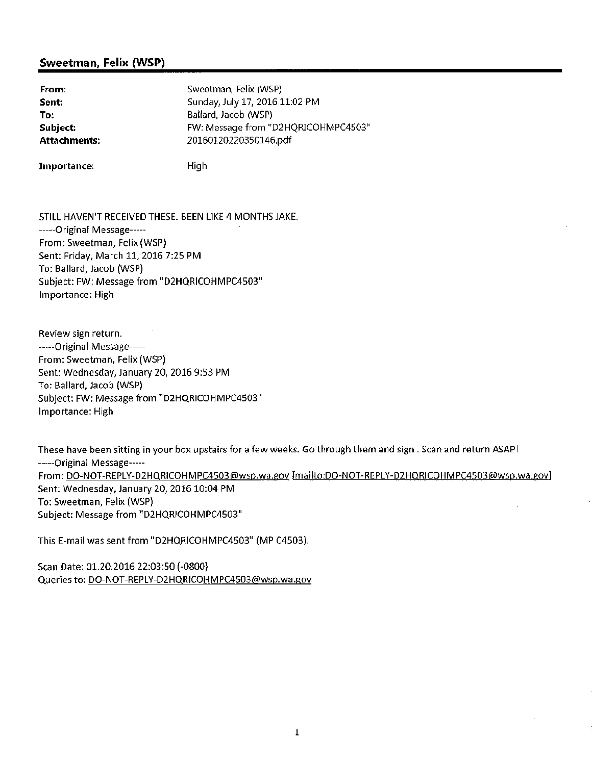| From:               | Sweetman, Felix (WSP)               |
|---------------------|-------------------------------------|
| Sent:               | Sunday, July 17, 2016 11:02 PM      |
| To:                 | Ballard, Jacob (WSP)                |
| Subject:            | FW: Message from "D2HQRICOHMPC4503" |
| <b>Attachments:</b> | 20160120220350146.pdf               |
|                     |                                     |

Importance:

High

STILL HAVEN'T RECEIVED THESE. BEEN LIKE 4 MONTHS JAKE. ------Original Message-----From: Sweetman, Felix (WSP) Sent: Friday, March 11, 2016 7:25 PM To: Ballard, Jacob (WSP) Subject: FW: Message from "D2HQRICOHMPC4503" Importance: High

Review sign return. -----Original Message-----From: Sweetman, Felix (WSP) Sent: Wednesday, January 20, 2016 9:53 PM To: Ballard, Jacob (WSP) Subject: FW: Message from "D2HQRICOHMPC4503" Importance: High

These have been sitting in your box upstairs for a few weeks. Go through them and sign . Scan and return ASAP! ----- Original Message-----From: DO-NOT-REPLY-D2HQRICOHMPC4503@wsp.wa.gov [mailto:DO-NOT-REPLY-D2HQRICOHMPC4503@wsp.wa.gov] Sent: Wednesday, January 20, 2016 10:04 PM To: Sweetman, Felix (WSP) Subject: Message from "D2HQRICOHMPC4503"

This E-mail was sent from "D2HQRICOHMPC4503" (MP C4503).

Scan Date: 01.20.2016 22:03:50 (-0800) Queries to: DO-NOT-REPLY-D2HQRICOHMPC4503@wsp.wa.gov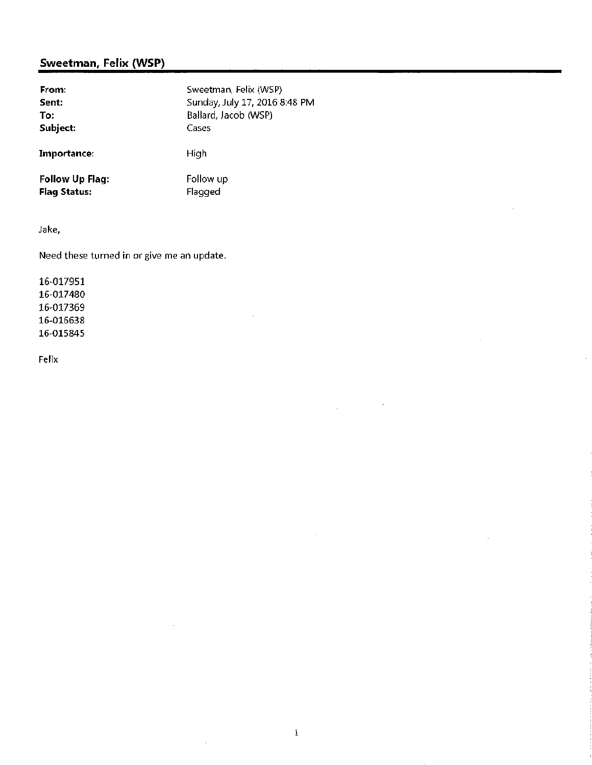| From:                  | Sweetman, Felix (WSP)         |
|------------------------|-------------------------------|
| Sent:                  | Sunday, July 17, 2016 8:48 PM |
| To:                    | Ballard, Jacob (WSP)          |
| Subject:               | Cases                         |
| Importance:            | High                          |
| <b>Follow Up Flag:</b> | Follow up                     |
| <b>Flag Status:</b>    | Flagged                       |

 $\mathcal{L}$ 

 $\mathbf 1$ 

 $\cdot$ 

 $\bar{z}$ 

Jake,

Need these turned in or give me an update.

16-017951 16-017480 16-017369 16-016638 16-015845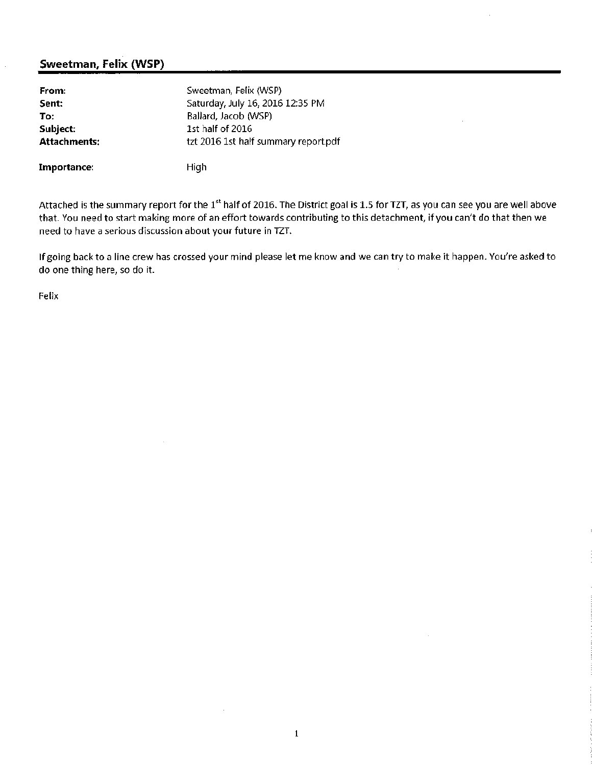| From:               | Sweetman, Felix (WSP)                |
|---------------------|--------------------------------------|
| Sent:               | Saturday, July 16, 2016 12:35 PM     |
| To:                 | Ballard, Jacob (WSP)                 |
| Subject:            | 1st half of 2016                     |
| <b>Attachments:</b> | tzt 2016 1st half summary report.pdf |
|                     |                                      |

Importance:

High

Attached is the summary report for the 1<sup>st</sup> half of 2016. The District goal is 1.5 for TZT, as you can see you are well above that. You need to start making more of an effort towards contributing to this detachment, if you can't do that then we need to have a serious discussion about your future in TZT.

If going back to a line crew has crossed your mind please let me know and we can try to make it happen. You're asked to do one thing here, so do it.